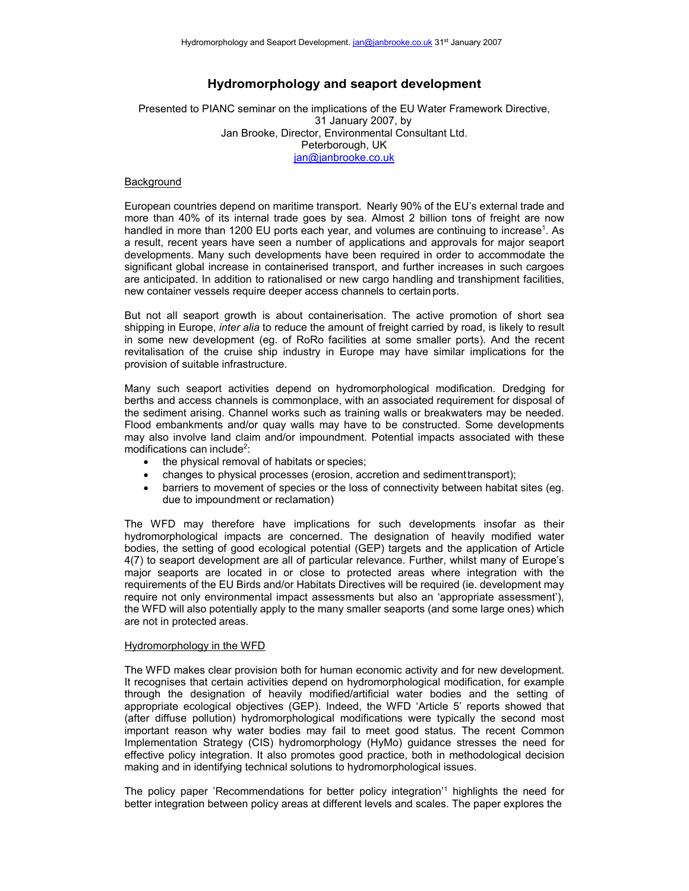# **Hydromorphology and seaport development**

Presented to PIANC seminar on the implications of the EU Water Framework Directive, 31 January 2007, by Jan Brooke, Director, Environmental Consultant Ltd. Peterborough, UK [jan@janbrooke.co.uk](mailto:jan@janbrooke.co.uk)

### **Background**

European countries depend on maritime transport. Nearly 90% of the EU's external trade and more than 40% of its internal trade goes by sea. Almost 2 billion tons of freight are now handled in more than 1200 EU ports each year, and volumes are continuing to increase<sup>1</sup>. As a result, recent years have seen a number of applications and approvals for major seaport developments. Many such developments have been required in order to accommodate the significant global increase in containerised transport, and further increases in such cargoes are anticipated. In addition to rationalised or new cargo handling and transhipment facilities, new container vessels require deeper access channels to certain ports.

But not all seaport growth is about containerisation. The active promotion of short sea shipping in Europe, *inter alia* to reduce the amount of freight carried by road, is likely to result in some new development (eg. of RoRo facilities at some smaller ports). And the recent revitalisation of the cruise ship industry in Europe may have similar implications for the provision of suitable infrastructure.

Many such seaport activities depend on hydromorphological modification. Dredging for berths and access channels is commonplace, with an associated requirement for disposal of the sediment arising. Channel works such as training walls or breakwaters may be needed. Flood embankments and/or quay walls may have to be constructed. Some developments may also involve land claim and/or impoundment. Potential impacts associated with these modifications can include<sup>2</sup>:

- the physical removal of habitats or species;
- changes to physical processes (erosion, accretion and sedimenttransport);
- barriers to movement of species or the loss of connectivity between habitat sites (eg. due to impoundment or reclamation)

The WFD may therefore have implications for such developments insofar as their hydromorphological impacts are concerned. The designation of heavily modified water bodies, the setting of good ecological potential (GEP) targets and the application of Article 4(7) to seaport development are all of particular relevance. Further, whilst many of Europe's major seaports are located in or close to protected areas where integration with the requirements of the EU Birds and/or Habitats Directives will be required (ie. development may require not only environmental impact assessments but also an 'appropriate assessment'), the WFD will also potentially apply to the many smaller seaports (and some large ones) which are not in protected areas.

#### Hydromorphology in the WFD

The WFD makes clear provision both for human economic activity and for new development. It recognises that certain activities depend on hydromorphological modification, for example through the designation of heavily modified/artificial water bodies and the setting of appropriate ecological objectives (GEP). Indeed, the WFD 'Article 5' reports showed that (after diffuse pollution) hydromorphological modifications were typically the second most important reason why water bodies may fail to meet good status. The recent Common Implementation Strategy (CIS) hydromorphology (HyMo) guidance stresses the need for effective policy integration. It also promotes good practice, both in methodological decision making and in identifying technical solutions to hydromorphological issues.

The policy paper 'Recommendations for better policy integration'1 highlights the need for better integration between policy areas at different levels and scales. The paper explores the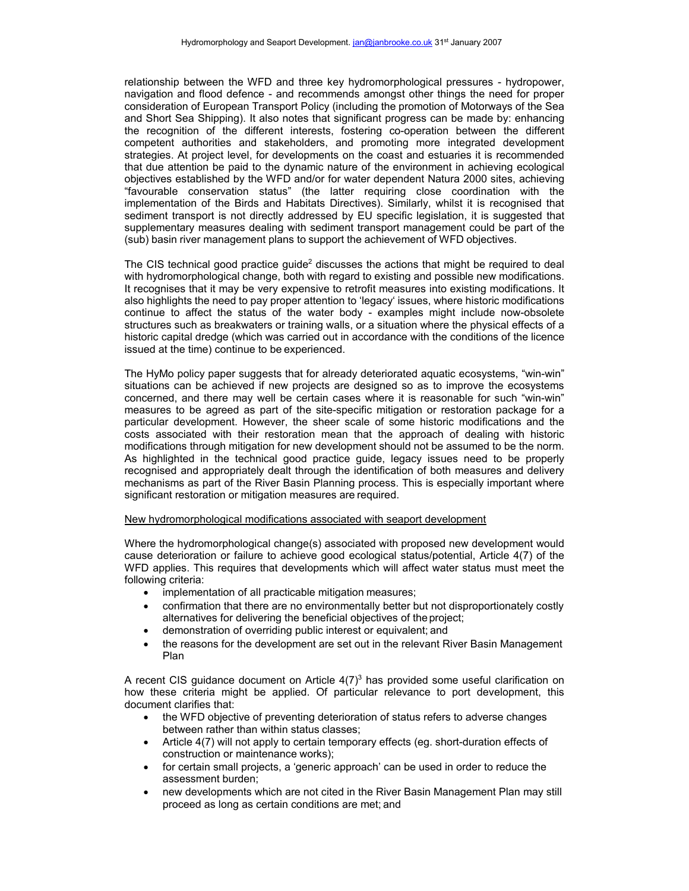relationship between the WFD and three key hydromorphological pressures - hydropower, navigation and flood defence - and recommends amongst other things the need for proper consideration of European Transport Policy (including the promotion of Motorways of the Sea and Short Sea Shipping). It also notes that significant progress can be made by: enhancing the recognition of the different interests, fostering co-operation between the different competent authorities and stakeholders, and promoting more integrated development strategies. At project level, for developments on the coast and estuaries it is recommended that due attention be paid to the dynamic nature of the environment in achieving ecological objectives established by the WFD and/or for water dependent Natura 2000 sites, achieving "favourable conservation status" (the latter requiring close coordination with the implementation of the Birds and Habitats Directives). Similarly, whilst it is recognised that sediment transport is not directly addressed by EU specific legislation, it is suggested that supplementary measures dealing with sediment transport management could be part of the (sub) basin river management plans to support the achievement of WFD objectives.

The CIS technical good practice guide<sup>2</sup> discusses the actions that might be required to deal with hydromorphological change, both with regard to existing and possible new modifications. It recognises that it may be very expensive to retrofit measures into existing modifications. It also highlights the need to pay proper attention to 'legacy' issues, where historic modifications continue to affect the status of the water body - examples might include now-obsolete structures such as breakwaters or training walls, or a situation where the physical effects of a historic capital dredge (which was carried out in accordance with the conditions of the licence issued at the time) continue to be experienced.

The HyMo policy paper suggests that for already deteriorated aquatic ecosystems, "win-win" situations can be achieved if new projects are designed so as to improve the ecosystems concerned, and there may well be certain cases where it is reasonable for such "win-win" measures to be agreed as part of the site-specific mitigation or restoration package for a particular development. However, the sheer scale of some historic modifications and the costs associated with their restoration mean that the approach of dealing with historic modifications through mitigation for new development should not be assumed to be the norm. As highlighted in the technical good practice guide, legacy issues need to be properly recognised and appropriately dealt through the identification of both measures and delivery mechanisms as part of the River Basin Planning process. This is especially important where significant restoration or mitigation measures are required.

## New hydromorphological modifications associated with seaport development

Where the hydromorphological change(s) associated with proposed new development would cause deterioration or failure to achieve good ecological status/potential, Article 4(7) of the WFD applies. This requires that developments which will affect water status must meet the following criteria:

- implementation of all practicable mitigation measures;
- confirmation that there are no environmentally better but not disproportionately costly alternatives for delivering the beneficial objectives of the project;
- demonstration of overriding public interest or equivalent; and
- the reasons for the development are set out in the relevant River Basin Management Plan

A recent CIS quidance document on Article  $4(7)<sup>3</sup>$  has provided some useful clarification on how these criteria might be applied. Of particular relevance to port development, this document clarifies that:

- the WFD objective of preventing deterioration of status refers to adverse changes between rather than within status classes;
- Article 4(7) will not apply to certain temporary effects (eg. short-duration effects of construction or maintenance works);
- for certain small projects, a 'generic approach' can be used in order to reduce the assessment burden;
- new developments which are not cited in the River Basin Management Plan may still proceed as long as certain conditions are met; and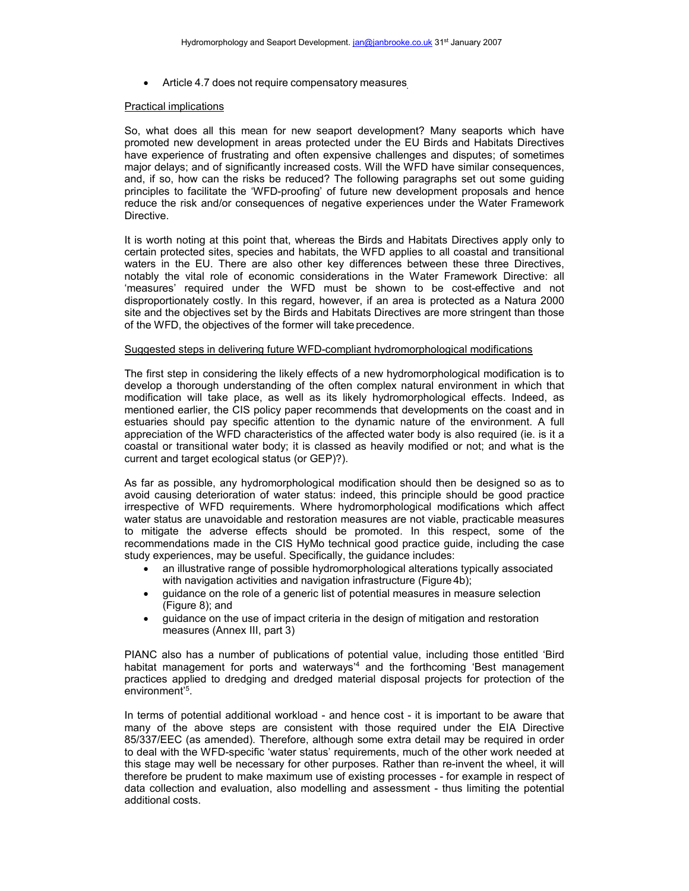• Article 4.7 does not require compensatory measures

#### Practical implications

So, what does all this mean for new seaport development? Many seaports which have promoted new development in areas protected under the EU Birds and Habitats Directives have experience of frustrating and often expensive challenges and disputes; of sometimes major delays; and of significantly increased costs. Will the WFD have similar consequences, and, if so, how can the risks be reduced? The following paragraphs set out some guiding principles to facilitate the 'WFD-proofing' of future new development proposals and hence reduce the risk and/or consequences of negative experiences under the Water Framework Directive.

It is worth noting at this point that, whereas the Birds and Habitats Directives apply only to certain protected sites, species and habitats, the WFD applies to all coastal and transitional waters in the EU. There are also other key differences between these three Directives, notably the vital role of economic considerations in the Water Framework Directive: all 'measures' required under the WFD must be shown to be cost-effective and not disproportionately costly. In this regard, however, if an area is protected as a Natura 2000 site and the objectives set by the Birds and Habitats Directives are more stringent than those of the WFD, the objectives of the former will take precedence.

#### Suggested steps in delivering future WFD-compliant hydromorphological modifications

The first step in considering the likely effects of a new hydromorphological modification is to develop a thorough understanding of the often complex natural environment in which that modification will take place, as well as its likely hydromorphological effects. Indeed, as mentioned earlier, the CIS policy paper recommends that developments on the coast and in estuaries should pay specific attention to the dynamic nature of the environment. A full appreciation of the WFD characteristics of the affected water body is also required (ie. is it a coastal or transitional water body; it is classed as heavily modified or not; and what is the current and target ecological status (or GEP)?).

As far as possible, any hydromorphological modification should then be designed so as to avoid causing deterioration of water status: indeed, this principle should be good practice irrespective of WFD requirements. Where hydromorphological modifications which affect water status are unavoidable and restoration measures are not viable, practicable measures to mitigate the adverse effects should be promoted. In this respect, some of the recommendations made in the CIS HyMo technical good practice guide, including the case study experiences, may be useful. Specifically, the guidance includes:

- an illustrative range of possible hydromorphological alterations typically associated with navigation activities and navigation infrastructure (Figure 4b);
- guidance on the role of a generic list of potential measures in measure selection (Figure 8); and
- guidance on the use of impact criteria in the design of mitigation and restoration measures (Annex III, part 3)

PIANC also has a number of publications of potential value, including those entitled 'Bird habitat management for ports and waterways<sup>14</sup> and the forthcoming 'Best management practices applied to dredging and dredged material disposal projects for protection of the environment'5 .

In terms of potential additional workload - and hence cost - it is important to be aware that many of the above steps are consistent with those required under the EIA Directive 85/337/EEC (as amended). Therefore, although some extra detail may be required in order to deal with the WFD-specific 'water status' requirements, much of the other work needed at this stage may well be necessary for other purposes. Rather than re-invent the wheel, it will therefore be prudent to make maximum use of existing processes - for example in respect of data collection and evaluation, also modelling and assessment - thus limiting the potential additional costs.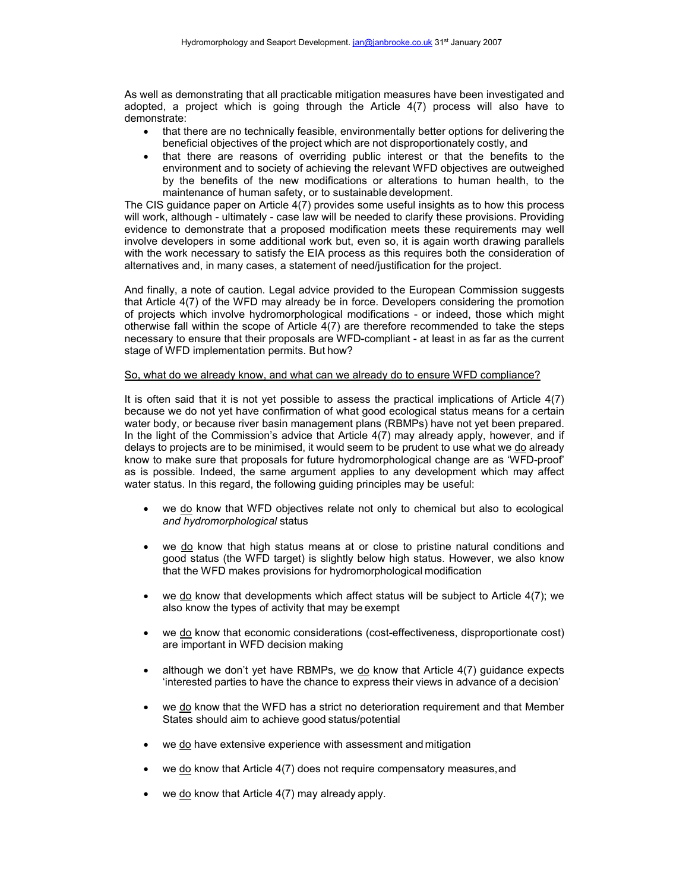As well as demonstrating that all practicable mitigation measures have been investigated and adopted, a project which is going through the Article 4(7) process will also have to demonstrate:

- that there are no technically feasible, environmentally better options for delivering the beneficial objectives of the project which are not disproportionately costly, and
- that there are reasons of overriding public interest or that the benefits to the environment and to society of achieving the relevant WFD objectives are outweighed by the benefits of the new modifications or alterations to human health, to the maintenance of human safety, or to sustainable development.

The CIS guidance paper on Article 4(7) provides some useful insights as to how this process will work, although - ultimately - case law will be needed to clarify these provisions. Providing evidence to demonstrate that a proposed modification meets these requirements may well involve developers in some additional work but, even so, it is again worth drawing parallels with the work necessary to satisfy the EIA process as this requires both the consideration of alternatives and, in many cases, a statement of need/justification for the project.

And finally, a note of caution. Legal advice provided to the European Commission suggests that Article 4(7) of the WFD may already be in force. Developers considering the promotion of projects which involve hydromorphological modifications - or indeed, those which might otherwise fall within the scope of Article 4(7) are therefore recommended to take the steps necessary to ensure that their proposals are WFD-compliant - at least in as far as the current stage of WFD implementation permits. But how?

## So, what do we already know, and what can we already do to ensure WFD compliance?

It is often said that it is not yet possible to assess the practical implications of Article 4(7) because we do not yet have confirmation of what good ecological status means for a certain water body, or because river basin management plans (RBMPs) have not yet been prepared. In the light of the Commission's advice that Article 4(7) may already apply, however, and if delays to projects are to be minimised, it would seem to be prudent to use what we do already know to make sure that proposals for future hydromorphological change are as 'WFD-proof' as is possible. Indeed, the same argument applies to any development which may affect water status. In this regard, the following guiding principles may be useful:

- we do know that WFD objectives relate not only to chemical but also to ecological *and hydromorphological* status
- we do know that high status means at or close to pristine natural conditions and good status (the WFD target) is slightly below high status. However, we also know that the WFD makes provisions for hydromorphological modification
- we do know that developments which affect status will be subject to Article  $4(7)$ ; we also know the types of activity that may be exempt
- we do know that economic considerations (cost-effectiveness, disproportionate cost) are important in WFD decision making
- although we don't yet have RBMPs, we do know that Article 4(7) guidance expects 'interested parties to have the chance to express their views in advance of a decision'
- we do know that the WFD has a strict no deterioration requirement and that Member States should aim to achieve good status/potential
- we do have extensive experience with assessment and mitigation
- we do know that Article 4(7) does not require compensatory measures, and
- we do know that Article 4(7) may already apply.